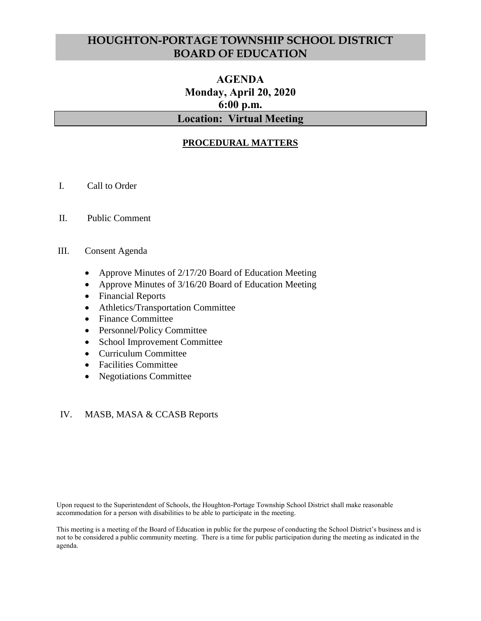# **HOUGHTON-PORTAGE TOWNSHIP SCHOOL DISTRICT BOARD OF EDUCATION**

## **AGENDA Monday, April 20, 2020 6:00 p.m. Location: Virtual Meeting**

## **PROCEDURAL MATTERS**

- I. Call to Order
- II. Public Comment
- III. Consent Agenda
	- Approve Minutes of 2/17/20 Board of Education Meeting
	- Approve Minutes of 3/16/20 Board of Education Meeting
	- Financial Reports
	- Athletics/Transportation Committee
	- Finance Committee
	- Personnel/Policy Committee
	- School Improvement Committee
	- Curriculum Committee
	- Facilities Committee
	- Negotiations Committee

#### IV. MASB, MASA & CCASB Reports

Upon request to the Superintendent of Schools, the Houghton-Portage Township School District shall make reasonable accommodation for a person with disabilities to be able to participate in the meeting.

This meeting is a meeting of the Board of Education in public for the purpose of conducting the School District's business and is not to be considered a public community meeting. There is a time for public participation during the meeting as indicated in the agenda.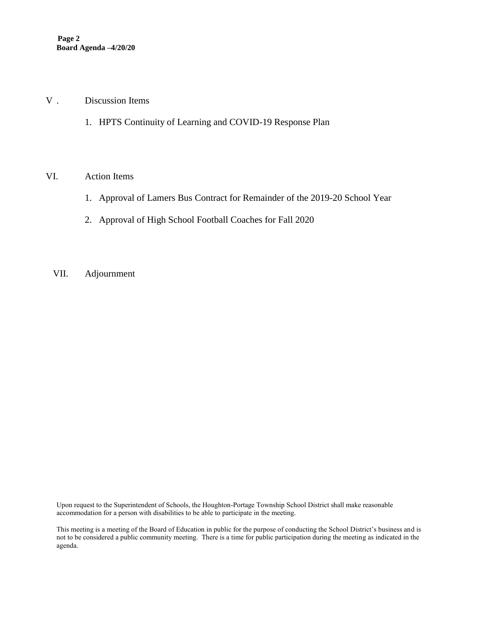#### V . Discussion Items

1. HPTS Continuity of Learning and COVID-19 Response Plan

#### VI. Action Items

- 1. Approval of Lamers Bus Contract for Remainder of the 2019-20 School Year
- 2. Approval of High School Football Coaches for Fall 2020
- VII. Adjournment

Upon request to the Superintendent of Schools, the Houghton-Portage Township School District shall make reasonable accommodation for a person with disabilities to be able to participate in the meeting.

This meeting is a meeting of the Board of Education in public for the purpose of conducting the School District's business and is not to be considered a public community meeting. There is a time for public participation during the meeting as indicated in the agenda.